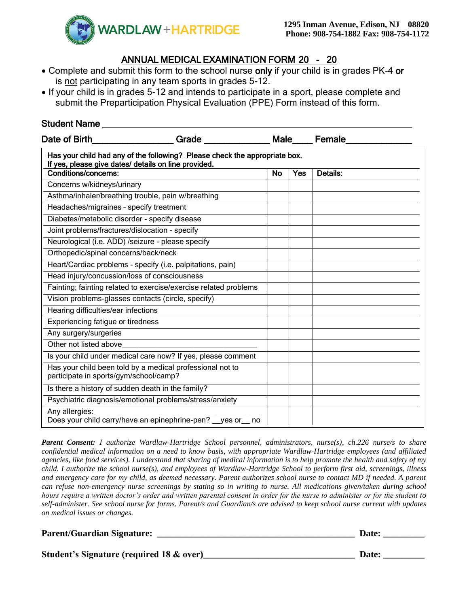

# ANNUAL MEDICAL EXAMINATION FORM 20 - 20

- Complete and submit this form to the school nurse only if your child is in grades PK-4 or is not participating in any team sports in grades 5-12.
- If your child is in grades 5-12 and intends to participate in a sport, please complete and submit the Preparticipation Physical Evaluation (PPE) Form instead of this form.

## Student Name **Example 20**

| Date of Birth                                                                                                                      | Grade ______________                                             |           |            | Male____Female_ |  |  |
|------------------------------------------------------------------------------------------------------------------------------------|------------------------------------------------------------------|-----------|------------|-----------------|--|--|
| Has your child had any of the following? Please check the appropriate box.<br>If yes, please give dates/ details on line provided. |                                                                  |           |            |                 |  |  |
| <b>Conditions/concerns:</b>                                                                                                        |                                                                  | <b>No</b> | <b>Yes</b> | <b>Details:</b> |  |  |
| Concerns w/kidneys/urinary                                                                                                         |                                                                  |           |            |                 |  |  |
| Asthma/inhaler/breathing trouble, pain w/breathing                                                                                 |                                                                  |           |            |                 |  |  |
| Headaches/migraines - specify treatment                                                                                            |                                                                  |           |            |                 |  |  |
| Diabetes/metabolic disorder - specify disease                                                                                      |                                                                  |           |            |                 |  |  |
| Joint problems/fractures/dislocation - specify                                                                                     |                                                                  |           |            |                 |  |  |
| Neurological (i.e. ADD) /seizure - please specify                                                                                  |                                                                  |           |            |                 |  |  |
| Orthopedic/spinal concerns/back/neck                                                                                               |                                                                  |           |            |                 |  |  |
|                                                                                                                                    | Heart/Cardiac problems - specify (i.e. palpitations, pain)       |           |            |                 |  |  |
| Head injury/concussion/loss of consciousness                                                                                       |                                                                  |           |            |                 |  |  |
|                                                                                                                                    | Fainting; fainting related to exercise/exercise related problems |           |            |                 |  |  |
| Vision problems-glasses contacts (circle, specify)                                                                                 |                                                                  |           |            |                 |  |  |
| Hearing difficulties/ear infections                                                                                                |                                                                  |           |            |                 |  |  |
| Experiencing fatigue or tiredness                                                                                                  |                                                                  |           |            |                 |  |  |
| Any surgery/surgeries                                                                                                              |                                                                  |           |            |                 |  |  |
| Other not listed above                                                                                                             |                                                                  |           |            |                 |  |  |
|                                                                                                                                    | Is your child under medical care now? If yes, please comment     |           |            |                 |  |  |
| participate in sports/gym/school/camp?                                                                                             | Has your child been told by a medical professional not to        |           |            |                 |  |  |
| Is there a history of sudden death in the family?                                                                                  |                                                                  |           |            |                 |  |  |
|                                                                                                                                    | Psychiatric diagnosis/emotional problems/stress/anxiety          |           |            |                 |  |  |
| Any allergies:                                                                                                                     | Does your child carry/have an epinephrine-pen? yes or no         |           |            |                 |  |  |

*Parent Consent: I authorize Wardlaw-Hartridge School personnel, administrators, nurse(s), ch.226 nurse/s to share confidential medical information on a need to know basis, with appropriate Wardlaw-Hartridge employees (and affiliated agencies, like food services). I understand that sharing of medical information is to help promote the health and safety of my child. I authorize the school nurse(s), and employees of Wardlaw-Hartridge School to perform first aid, screenings, illness and emergency care for my child, as deemed necessary. Parent authorizes school nurse to contact MD if needed. A parent can refuse non-emergency nurse screenings by stating so in writing to nurse. All medications given/taken during school hours require a written doctor's order and written parental consent in order for the nurse to administer or for the student to self-administer. See school nurse for forms. Parent/s and Guardian/s are advised to keep school nurse current with updates on medical issues or changes.* 

#### **Parent/Guardian Signature:**  $\qquad \qquad$  **Date:**  $\qquad \qquad$  **Date:**  $\qquad \qquad$  **Date:**  $\qquad \qquad$

**Student's Signature (required 18 & over)\_\_\_\_\_\_\_\_\_\_\_\_\_\_\_\_\_\_\_\_\_\_\_\_\_\_\_\_\_\_\_\_\_ Date: \_\_\_\_\_\_\_\_\_**